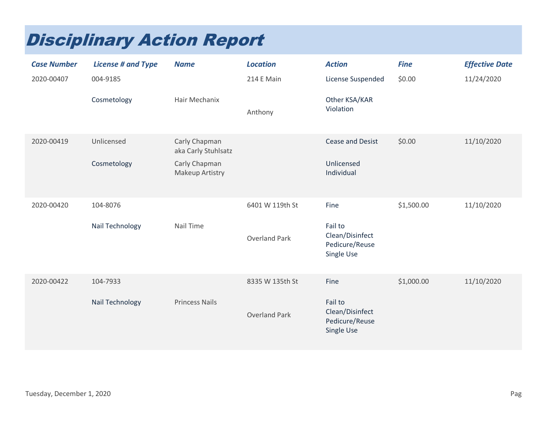## Disciplinary Action Report

| <b>Case Number</b> | <b>License # and Type</b> | <b>Name</b>                          | <b>Location</b>      | <b>Action</b>                                              | <b>Fine</b> | <b>Effective Date</b> |
|--------------------|---------------------------|--------------------------------------|----------------------|------------------------------------------------------------|-------------|-----------------------|
| 2020-00407         | 004-9185                  |                                      | 214 E Main           | License Suspended                                          | \$0.00      | 11/24/2020            |
|                    | Cosmetology               | Hair Mechanix                        | Anthony              | Other KSA/KAR<br>Violation                                 |             |                       |
| 2020-00419         | Unlicensed                | Carly Chapman<br>aka Carly Stuhlsatz |                      | <b>Cease and Desist</b>                                    | \$0.00      | 11/10/2020            |
|                    | Cosmetology               | Carly Chapman<br>Makeup Artistry     |                      | Unlicensed<br>Individual                                   |             |                       |
| 2020-00420         | 104-8076                  |                                      | 6401 W 119th St      | Fine                                                       | \$1,500.00  | 11/10/2020            |
|                    | Nail Technology           | Nail Time                            | <b>Overland Park</b> | Fail to<br>Clean/Disinfect<br>Pedicure/Reuse<br>Single Use |             |                       |
| 2020-00422         | 104-7933                  |                                      | 8335 W 135th St      | Fine                                                       | \$1,000.00  | 11/10/2020            |
|                    | Nail Technology           | <b>Princess Nails</b>                | <b>Overland Park</b> | Fail to<br>Clean/Disinfect<br>Pedicure/Reuse<br>Single Use |             |                       |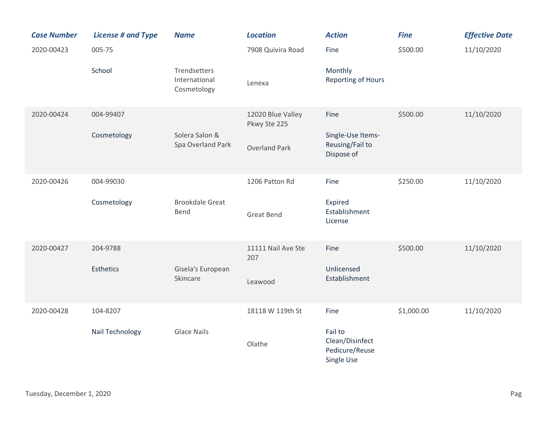| <b>Case Number</b> | <b>License # and Type</b> | <b>Name</b>                                  | <b>Location</b>                   | <b>Action</b>                                              | <b>Fine</b> | <b>Effective Date</b> |
|--------------------|---------------------------|----------------------------------------------|-----------------------------------|------------------------------------------------------------|-------------|-----------------------|
| 2020-00423         | 005-75                    |                                              | 7908 Quivira Road                 | Fine                                                       | \$500.00    | 11/10/2020            |
|                    | School                    | Trendsetters<br>International<br>Cosmetology | Lenexa                            | Monthly<br><b>Reporting of Hours</b>                       |             |                       |
| 2020-00424         | 004-99407                 |                                              | 12020 Blue Valley<br>Pkwy Ste 225 | Fine                                                       | \$500.00    | 11/10/2020            |
|                    | Cosmetology               | Solera Salon &<br>Spa Overland Park          | <b>Overland Park</b>              | Single-Use Items-<br>Reusing/Fail to<br>Dispose of         |             |                       |
| 2020-00426         | 004-99030                 |                                              | 1206 Patton Rd                    | Fine                                                       | \$250.00    | 11/10/2020            |
|                    | Cosmetology               | <b>Brookdale Great</b><br>Bend               | <b>Great Bend</b>                 | Expired<br>Establishment<br>License                        |             |                       |
| 2020-00427         | 204-9788                  |                                              | 11111 Nail Ave Ste<br>207         | Fine                                                       | \$500.00    | 11/10/2020            |
|                    | <b>Esthetics</b>          | Gisela's European<br>Skincare                | Leawood                           | Unlicensed<br>Establishment                                |             |                       |
| 2020-00428         | 104-8207                  |                                              | 18118 W 119th St                  | Fine                                                       | \$1,000.00  | 11/10/2020            |
|                    | Nail Technology           | <b>Glace Nails</b>                           | Olathe                            | Fail to<br>Clean/Disinfect<br>Pedicure/Reuse<br>Single Use |             |                       |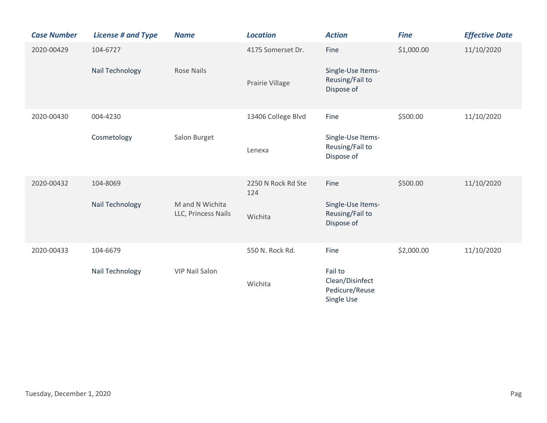| <b>Case Number</b> | <b>License # and Type</b>   | <b>Name</b>                            | <b>Location</b>           | <b>Action</b>                                              | <b>Fine</b> | <b>Effective Date</b> |
|--------------------|-----------------------------|----------------------------------------|---------------------------|------------------------------------------------------------|-------------|-----------------------|
| 2020-00429         | 104-6727<br>Nail Technology | <b>Rose Nails</b>                      | 4175 Somerset Dr.         | Fine<br>Single-Use Items-<br>Reusing/Fail to               | \$1,000.00  | 11/10/2020            |
|                    |                             |                                        | Prairie Village           | Dispose of                                                 |             |                       |
| 2020-00430         | 004-4230                    |                                        | 13406 College Blvd        | Fine                                                       | \$500.00    | 11/10/2020            |
|                    | Cosmetology                 | Salon Burget                           | Lenexa                    | Single-Use Items-<br>Reusing/Fail to<br>Dispose of         |             |                       |
| 2020-00432         | 104-8069                    |                                        | 2250 N Rock Rd Ste<br>124 | Fine                                                       | \$500.00    | 11/10/2020            |
|                    | Nail Technology             | M and N Wichita<br>LLC, Princess Nails | Wichita                   | Single-Use Items-<br>Reusing/Fail to<br>Dispose of         |             |                       |
| 2020-00433         | 104-6679                    |                                        | 550 N. Rock Rd.           | Fine                                                       | \$2,000.00  | 11/10/2020            |
|                    | Nail Technology             | <b>VIP Nail Salon</b>                  | Wichita                   | Fail to<br>Clean/Disinfect<br>Pedicure/Reuse<br>Single Use |             |                       |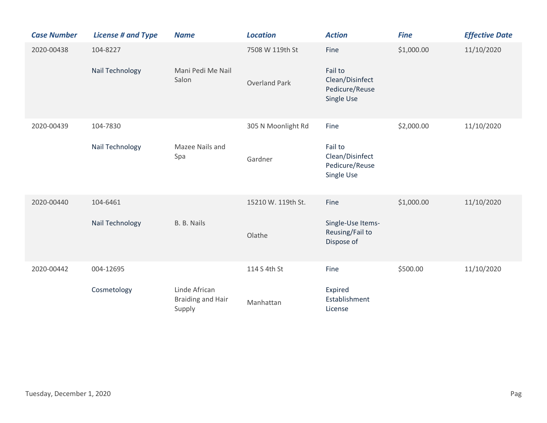| <b>Case Number</b> | <b>License # and Type</b> | <b>Name</b>                                         | <b>Location</b>      | <b>Action</b>                                              | <b>Fine</b> | <b>Effective Date</b> |
|--------------------|---------------------------|-----------------------------------------------------|----------------------|------------------------------------------------------------|-------------|-----------------------|
| 2020-00438         | 104-8227                  |                                                     | 7508 W 119th St      | Fine                                                       | \$1,000.00  | 11/10/2020            |
|                    | Nail Technology           | Mani Pedi Me Nail<br>Salon                          | <b>Overland Park</b> | Fail to<br>Clean/Disinfect<br>Pedicure/Reuse<br>Single Use |             |                       |
| 2020-00439         | 104-7830                  |                                                     | 305 N Moonlight Rd   | Fine                                                       | \$2,000.00  | 11/10/2020            |
|                    | Nail Technology           | Mazee Nails and<br>Spa                              | Gardner              | Fail to<br>Clean/Disinfect<br>Pedicure/Reuse<br>Single Use |             |                       |
| 2020-00440         | 104-6461                  |                                                     | 15210 W. 119th St.   | Fine                                                       | \$1,000.00  | 11/10/2020            |
|                    | Nail Technology           | B. B. Nails                                         | Olathe               | Single-Use Items-<br>Reusing/Fail to<br>Dispose of         |             |                       |
| 2020-00442         | 004-12695                 |                                                     | 114 S 4th St         | Fine                                                       | \$500.00    | 11/10/2020            |
|                    | Cosmetology               | Linde African<br><b>Braiding and Hair</b><br>Supply | Manhattan            | Expired<br>Establishment<br>License                        |             |                       |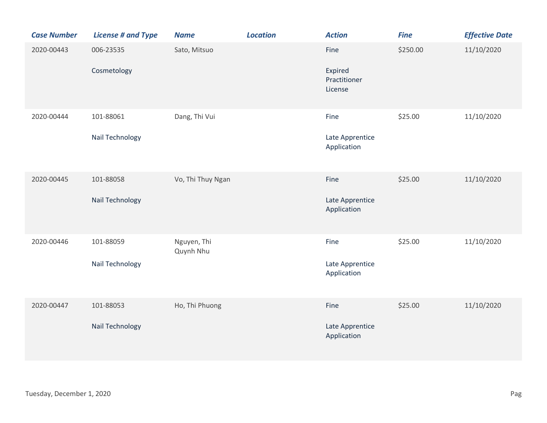| <b>Case Number</b> | <b>License # and Type</b>    | <b>Name</b>              | <b>Location</b> | <b>Action</b>                              | <b>Fine</b> | <b>Effective Date</b> |
|--------------------|------------------------------|--------------------------|-----------------|--------------------------------------------|-------------|-----------------------|
| 2020-00443         | 006-23535<br>Cosmetology     | Sato, Mitsuo             |                 | Fine<br>Expired<br>Practitioner<br>License | \$250.00    | 11/10/2020            |
| 2020-00444         | 101-88061<br>Nail Technology | Dang, Thi Vui            |                 | Fine<br>Late Apprentice<br>Application     | \$25.00     | 11/10/2020            |
| 2020-00445         | 101-88058<br>Nail Technology | Vo, Thi Thuy Ngan        |                 | Fine<br>Late Apprentice<br>Application     | \$25.00     | 11/10/2020            |
| 2020-00446         | 101-88059<br>Nail Technology | Nguyen, Thi<br>Quynh Nhu |                 | Fine<br>Late Apprentice<br>Application     | \$25.00     | 11/10/2020            |
| 2020-00447         | 101-88053<br>Nail Technology | Ho, Thi Phuong           |                 | Fine<br>Late Apprentice<br>Application     | \$25.00     | 11/10/2020            |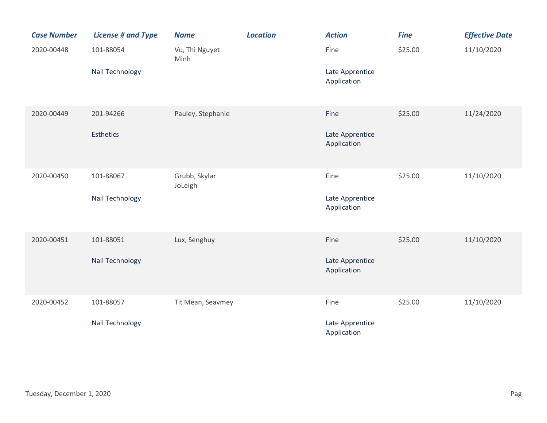| <b>Case Number</b> | <b>License # and Type</b> | <b>Name</b>              | <b>Location</b> | <b>Action</b>                  | <b>Fine</b> | <b>Effective Date</b> |
|--------------------|---------------------------|--------------------------|-----------------|--------------------------------|-------------|-----------------------|
| 2020-00448         | 101-88054                 | Vu, Thi Nguyet<br>Minh   |                 | Fine                           | \$25.00     | 11/10/2020            |
|                    | Nail Technology           |                          |                 | Late Apprentice<br>Application |             |                       |
| 2020-00449         | 201-94266                 | Pauley, Stephanie        |                 | Fine                           | \$25.00     | 11/24/2020            |
|                    | <b>Esthetics</b>          |                          |                 | Late Apprentice<br>Application |             |                       |
| 2020-00450         | 101-88067                 | Grubb, Skylar<br>JoLeigh |                 | Fine                           | \$25.00     | 11/10/2020            |
|                    | Nail Technology           |                          |                 | Late Apprentice<br>Application |             |                       |
| 2020-00451         | 101-88051                 | Lux, Senghuy             |                 | Fine                           | \$25.00     | 11/10/2020            |
|                    | Nail Technology           |                          |                 | Late Apprentice<br>Application |             |                       |
| 2020-00452         | 101-88057                 | Tit Mean, Seavmey        |                 | Fine                           | \$25.00     | 11/10/2020            |
|                    | Nail Technology           |                          |                 | Late Apprentice<br>Application |             |                       |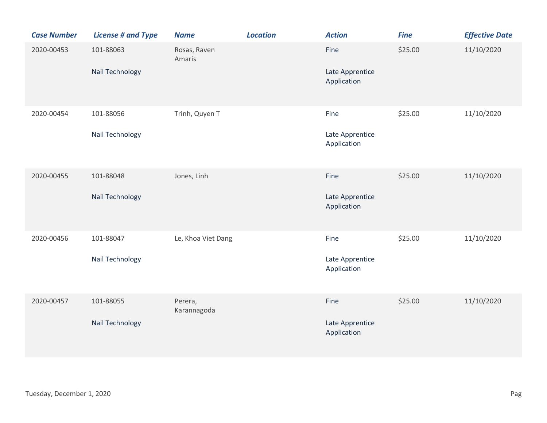| <b>Case Number</b> | <b>License # and Type</b>    | <b>Name</b>            | <b>Location</b> | <b>Action</b>                          | <b>Fine</b> | <b>Effective Date</b> |
|--------------------|------------------------------|------------------------|-----------------|----------------------------------------|-------------|-----------------------|
| 2020-00453         | 101-88063<br>Nail Technology | Rosas, Raven<br>Amaris |                 | Fine<br>Late Apprentice<br>Application | \$25.00     | 11/10/2020            |
| 2020-00454         | 101-88056<br>Nail Technology | Trinh, Quyen T         |                 | Fine<br>Late Apprentice<br>Application | \$25.00     | 11/10/2020            |
| 2020-00455         | 101-88048<br>Nail Technology | Jones, Linh            |                 | Fine<br>Late Apprentice<br>Application | \$25.00     | 11/10/2020            |
| 2020-00456         | 101-88047<br>Nail Technology | Le, Khoa Viet Dang     |                 | Fine<br>Late Apprentice<br>Application | \$25.00     | 11/10/2020            |
| 2020-00457         | 101-88055<br>Nail Technology | Perera,<br>Karannagoda |                 | Fine<br>Late Apprentice<br>Application | \$25.00     | 11/10/2020            |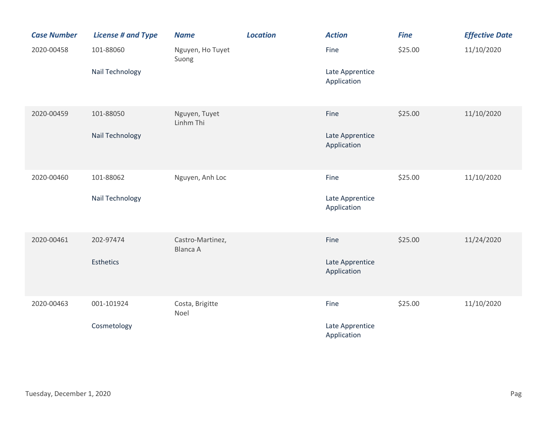| <b>Case Number</b> | <b>License # and Type</b> | <b>Name</b>                         | <b>Location</b> | <b>Action</b>                  | <b>Fine</b> | <b>Effective Date</b> |
|--------------------|---------------------------|-------------------------------------|-----------------|--------------------------------|-------------|-----------------------|
| 2020-00458         | 101-88060                 | Nguyen, Ho Tuyet<br>Suong           |                 | Fine                           | \$25.00     | 11/10/2020            |
|                    | Nail Technology           |                                     |                 | Late Apprentice<br>Application |             |                       |
| 2020-00459         | 101-88050                 | Nguyen, Tuyet<br>Linhm Thi          |                 | Fine                           | \$25.00     | 11/10/2020            |
|                    | Nail Technology           |                                     |                 | Late Apprentice<br>Application |             |                       |
| 2020-00460         | 101-88062                 | Nguyen, Anh Loc                     |                 | Fine                           | \$25.00     | 11/10/2020            |
|                    | Nail Technology           |                                     |                 | Late Apprentice<br>Application |             |                       |
| 2020-00461         | 202-97474                 | Castro-Martinez,<br><b>Blanca A</b> |                 | Fine                           | \$25.00     | 11/24/2020            |
|                    | <b>Esthetics</b>          |                                     |                 | Late Apprentice<br>Application |             |                       |
| 2020-00463         | 001-101924                | Costa, Brigitte<br>Noel             |                 | Fine                           | \$25.00     | 11/10/2020            |
|                    | Cosmetology               |                                     |                 | Late Apprentice<br>Application |             |                       |